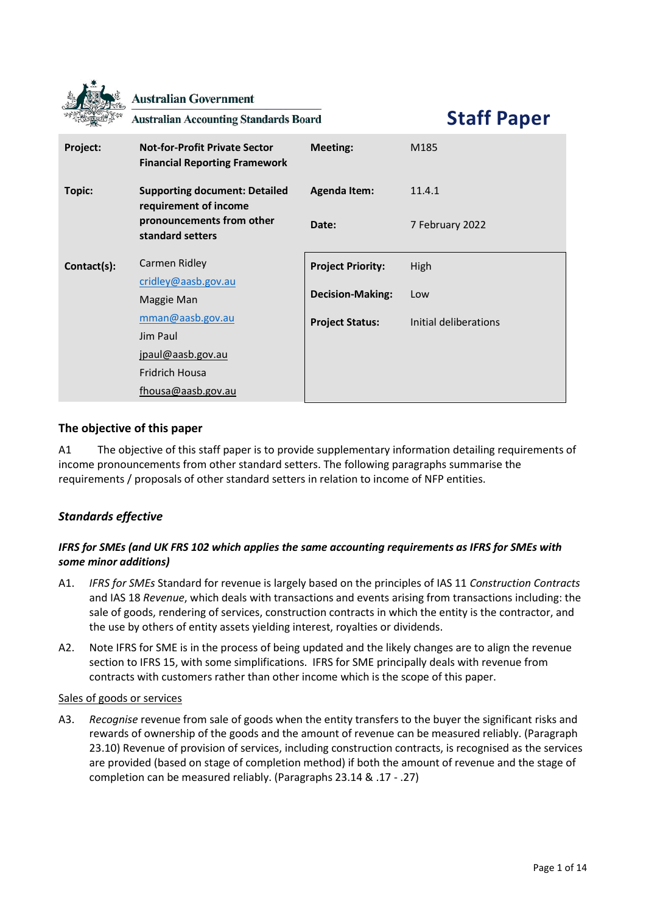|             | <b>Australian Government</b><br><b>Australian Accounting Standards Board</b> |                          | <b>Staff Paper</b>    |
|-------------|------------------------------------------------------------------------------|--------------------------|-----------------------|
| Project:    | <b>Not-for-Profit Private Sector</b><br><b>Financial Reporting Framework</b> | <b>Meeting:</b>          | M185                  |
| Topic:      | <b>Supporting document: Detailed</b><br>requirement of income                | <b>Agenda Item:</b>      | 11.4.1                |
|             | pronouncements from other<br>standard setters                                | Date:                    | 7 February 2022       |
| Contact(s): | Carmen Ridley                                                                | <b>Project Priority:</b> | High                  |
|             | cridley@aasb.gov.au<br>Maggie Man                                            | <b>Decision-Making:</b>  | Low                   |
|             | mman@aasb.gov.au                                                             | <b>Project Status:</b>   | Initial deliberations |
|             | Jim Paul                                                                     |                          |                       |
|             | jpaul@aasb.gov.au                                                            |                          |                       |
|             | <b>Fridrich Housa</b>                                                        |                          |                       |
|             | fhousa@aasb.gov.au                                                           |                          |                       |

# **The objective of this paper**

A1 The objective of this staff paper is to provide supplementary information detailing requirements of income pronouncements from other standard setters. The following paragraphs summarise the requirements / proposals of other standard setters in relation to income of NFP entities.

# *Standards effective*

# *IFRS for SMEs (and UK FRS 102 which applies the same accounting requirements as IFRS for SMEs with some minor additions)*

- A1. *IFRS for SMEs* Standard for revenue is largely based on the principles of IAS 11 *Construction Contracts* and IAS 18 *Revenue*, which deals with transactions and events arising from transactions including: the sale of goods, rendering of services, construction contracts in which the entity is the contractor, and the use by others of entity assets yielding interest, royalties or dividends.
- A2. Note IFRS for SME is in the process of being updated and the likely changes are to align the revenue section to IFRS 15, with some simplifications. IFRS for SME principally deals with revenue from contracts with customers rather than other income which is the scope of this paper.

## Sales of goods or services

A3. *Recognise* revenue from sale of goods when the entity transfers to the buyer the significant risks and rewards of ownership of the goods and the amount of revenue can be measured reliably. (Paragraph 23.10) Revenue of provision of services, including construction contracts, is recognised as the services are provided (based on stage of completion method) if both the amount of revenue and the stage of completion can be measured reliably. (Paragraphs 23.14 & .17 - .27)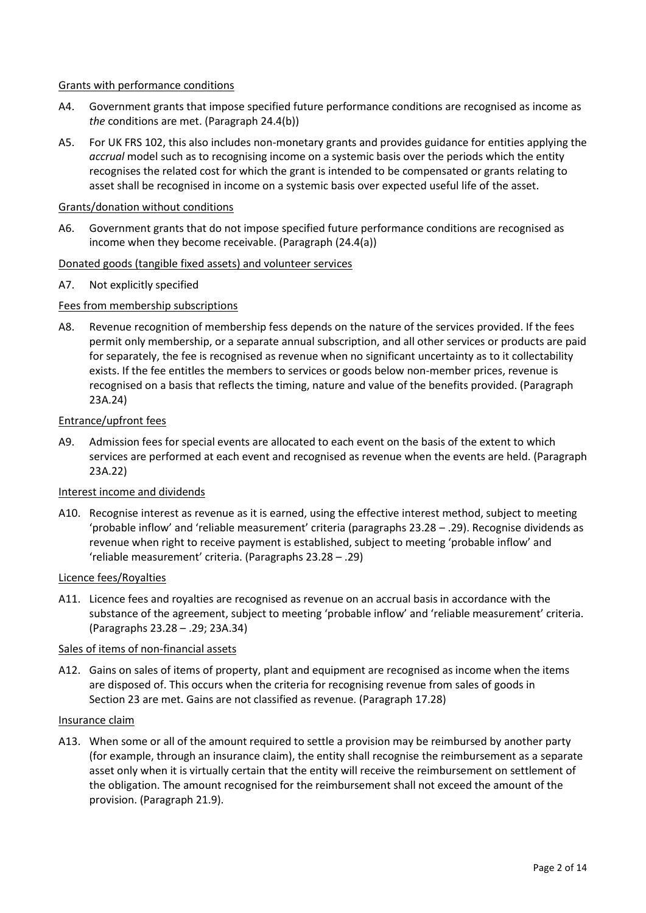### Grants with performance conditions

- A4. Government grants that impose specified future performance conditions are recognised as income as *the* conditions are met. (Paragraph 24.4(b))
- A5. For UK FRS 102, this also includes non-monetary grants and provides guidance for entities applying the *accrual* model such as to recognising income on a systemic basis over the periods which the entity recognises the related cost for which the grant is intended to be compensated or grants relating to asset shall be recognised in income on a systemic basis over expected useful life of the asset.

### Grants/donation without conditions

A6. Government grants that do not impose specified future performance conditions are recognised as income when they become receivable. (Paragraph (24.4(a))

### Donated goods (tangible fixed assets) and volunteer services

A7. Not explicitly specified

### Fees from membership subscriptions

A8. Revenue recognition of membership fess depends on the nature of the services provided. If the fees permit only membership, or a separate annual subscription, and all other services or products are paid for separately, the fee is recognised as revenue when no significant uncertainty as to it collectability exists. If the fee entitles the members to services or goods below non-member prices, revenue is recognised on a basis that reflects the timing, nature and value of the benefits provided. (Paragraph 23A.24)

#### Entrance/upfront fees

A9. Admission fees for special events are allocated to each event on the basis of the extent to which services are performed at each event and recognised as revenue when the events are held. (Paragraph 23A.22)

#### Interest income and dividends

A10. Recognise interest as revenue as it is earned, using the effective interest method, subject to meeting 'probable inflow' and 'reliable measurement' criteria (paragraphs 23.28 – .29). Recognise dividends as revenue when right to receive payment is established, subject to meeting 'probable inflow' and 'reliable measurement' criteria. (Paragraphs 23.28 – .29)

#### Licence fees/Royalties

A11. Licence fees and royalties are recognised as revenue on an accrual basis in accordance with the substance of the agreement, subject to meeting 'probable inflow' and 'reliable measurement' criteria. (Paragraphs 23.28 – .29; 23A.34)

#### Sales of items of non-financial assets

A12. Gains on sales of items of property, plant and equipment are recognised as income when the items are disposed of. This occurs when the criteria for recognising revenue from sales of goods in Section 23 are met. Gains are not classified as revenue. (Paragraph 17.28)

#### Insurance claim

A13. When some or all of the amount required to settle a provision may be reimbursed by another party (for example, through an insurance claim), the entity shall recognise the reimbursement as a separate asset only when it is virtually certain that the entity will receive the reimbursement on settlement of the obligation. The amount recognised for the reimbursement shall not exceed the amount of the provision. (Paragraph 21.9).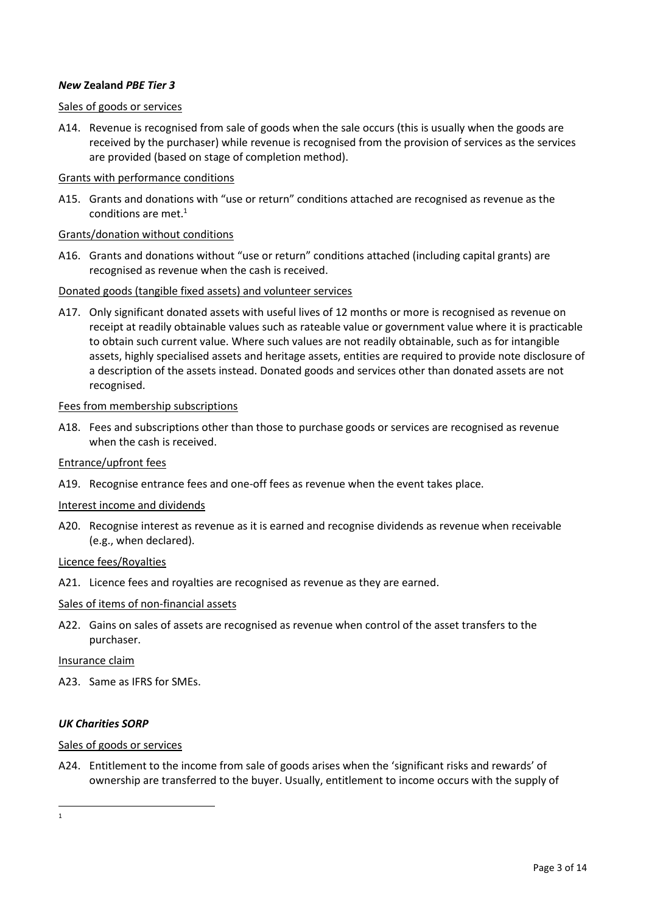## *New* **Zealand** *PBE Tier 3*

### Sales of goods or services

A14. Revenue is recognised from sale of goods when the sale occurs (this is usually when the goods are received by the purchaser) while revenue is recognised from the provision of services as the services are provided (based on stage of completion method).

### Grants with performance conditions

A15. Grants and donations with "use or return" conditions attached are recognised as revenue as the conditions are met. $<sup>1</sup>$ </sup>

### Grants/donation without conditions

A16. Grants and donations without "use or return" conditions attached (including capital grants) are recognised as revenue when the cash is received.

### Donated goods (tangible fixed assets) and volunteer services

A17. Only significant donated assets with useful lives of 12 months or more is recognised as revenue on receipt at readily obtainable values such as rateable value or government value where it is practicable to obtain such current value. Where such values are not readily obtainable, such as for intangible assets, highly specialised assets and heritage assets, entities are required to provide note disclosure of a description of the assets instead. Donated goods and services other than donated assets are not recognised.

### Fees from membership subscriptions

A18. Fees and subscriptions other than those to purchase goods or services are recognised as revenue when the cash is received.

### Entrance/upfront fees

A19. Recognise entrance fees and one-off fees as revenue when the event takes place.

#### Interest income and dividends

A20. Recognise interest as revenue as it is earned and recognise dividends as revenue when receivable (e.g., when declared).

#### Licence fees/Royalties

A21. Licence fees and royalties are recognised as revenue as they are earned.

#### Sales of items of non-financial assets

A22. Gains on sales of assets are recognised as revenue when control of the asset transfers to the purchaser.

#### Insurance claim

A23. Same as IFRS for SMEs.

## *UK Charities SORP*

#### Sales of goods or services

A24. Entitlement to the income from sale of goods arises when the 'significant risks and rewards' of ownership are transferred to the buyer. Usually, entitlement to income occurs with the supply of

1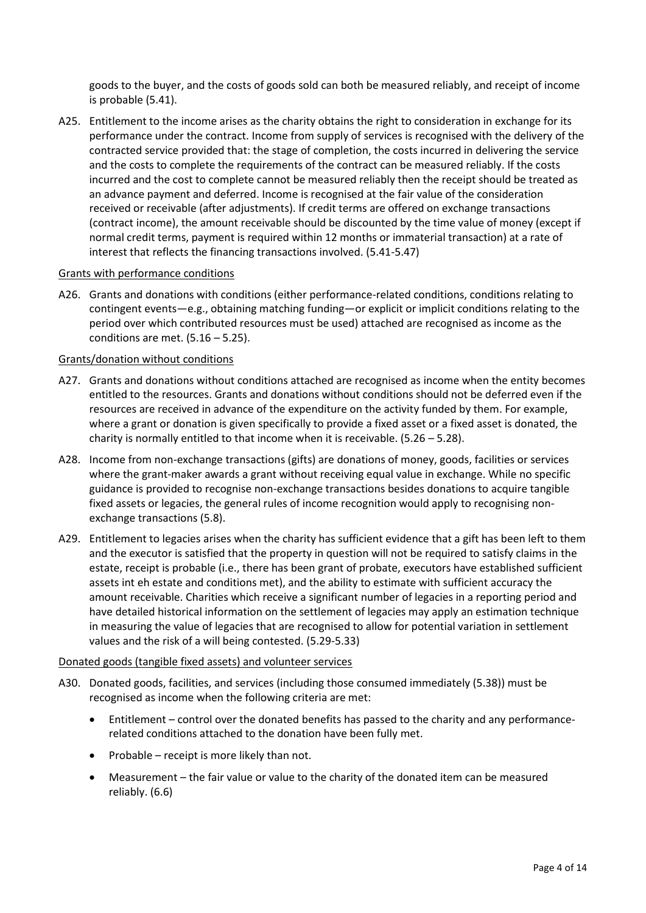goods to the buyer, and the costs of goods sold can both be measured reliably, and receipt of income is probable (5.41).

A25. Entitlement to the income arises as the charity obtains the right to consideration in exchange for its performance under the contract. Income from supply of services is recognised with the delivery of the contracted service provided that: the stage of completion, the costs incurred in delivering the service and the costs to complete the requirements of the contract can be measured reliably. If the costs incurred and the cost to complete cannot be measured reliably then the receipt should be treated as an advance payment and deferred. Income is recognised at the fair value of the consideration received or receivable (after adjustments). If credit terms are offered on exchange transactions (contract income), the amount receivable should be discounted by the time value of money (except if normal credit terms, payment is required within 12 months or immaterial transaction) at a rate of interest that reflects the financing transactions involved. (5.41-5.47)

## Grants with performance conditions

A26. Grants and donations with conditions (either performance-related conditions, conditions relating to contingent events—e.g., obtaining matching funding—or explicit or implicit conditions relating to the period over which contributed resources must be used) attached are recognised as income as the conditions are met.  $(5.16 - 5.25)$ .

#### Grants/donation without conditions

- A27. Grants and donations without conditions attached are recognised as income when the entity becomes entitled to the resources. Grants and donations without conditions should not be deferred even if the resources are received in advance of the expenditure on the activity funded by them. For example, where a grant or donation is given specifically to provide a fixed asset or a fixed asset is donated, the charity is normally entitled to that income when it is receivable. (5.26 – 5.28).
- A28. Income from non-exchange transactions (gifts) are donations of money, goods, facilities or services where the grant-maker awards a grant without receiving equal value in exchange. While no specific guidance is provided to recognise non-exchange transactions besides donations to acquire tangible fixed assets or legacies, the general rules of income recognition would apply to recognising nonexchange transactions (5.8).
- A29. Entitlement to legacies arises when the charity has sufficient evidence that a gift has been left to them and the executor is satisfied that the property in question will not be required to satisfy claims in the estate, receipt is probable (i.e., there has been grant of probate, executors have established sufficient assets int eh estate and conditions met), and the ability to estimate with sufficient accuracy the amount receivable. Charities which receive a significant number of legacies in a reporting period and have detailed historical information on the settlement of legacies may apply an estimation technique in measuring the value of legacies that are recognised to allow for potential variation in settlement values and the risk of a will being contested. (5.29-5.33)

#### Donated goods (tangible fixed assets) and volunteer services

- A30. Donated goods, facilities, and services (including those consumed immediately (5.38)) must be recognised as income when the following criteria are met:
	- Entitlement control over the donated benefits has passed to the charity and any performancerelated conditions attached to the donation have been fully met.
	- Probable receipt is more likely than not.
	- Measurement the fair value or value to the charity of the donated item can be measured reliably. (6.6)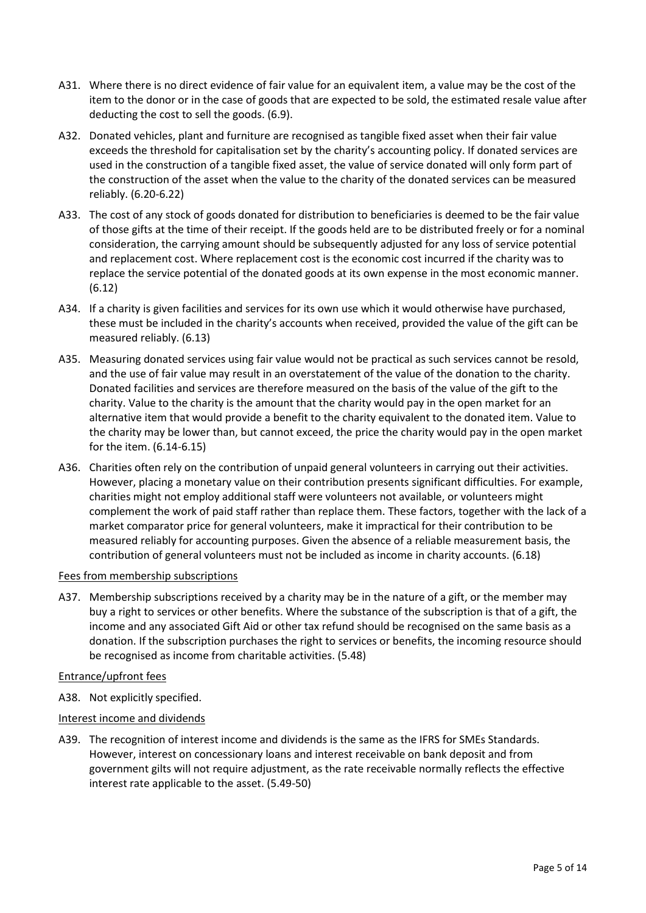- A31. Where there is no direct evidence of fair value for an equivalent item, a value may be the cost of the item to the donor or in the case of goods that are expected to be sold, the estimated resale value after deducting the cost to sell the goods. (6.9).
- A32. Donated vehicles, plant and furniture are recognised as tangible fixed asset when their fair value exceeds the threshold for capitalisation set by the charity's accounting policy. If donated services are used in the construction of a tangible fixed asset, the value of service donated will only form part of the construction of the asset when the value to the charity of the donated services can be measured reliably. (6.20-6.22)
- A33. The cost of any stock of goods donated for distribution to beneficiaries is deemed to be the fair value of those gifts at the time of their receipt. If the goods held are to be distributed freely or for a nominal consideration, the carrying amount should be subsequently adjusted for any loss of service potential and replacement cost. Where replacement cost is the economic cost incurred if the charity was to replace the service potential of the donated goods at its own expense in the most economic manner. (6.12)
- A34. If a charity is given facilities and services for its own use which it would otherwise have purchased, these must be included in the charity's accounts when received, provided the value of the gift can be measured reliably. (6.13)
- A35. Measuring donated services using fair value would not be practical as such services cannot be resold, and the use of fair value may result in an overstatement of the value of the donation to the charity. Donated facilities and services are therefore measured on the basis of the value of the gift to the charity. Value to the charity is the amount that the charity would pay in the open market for an alternative item that would provide a benefit to the charity equivalent to the donated item. Value to the charity may be lower than, but cannot exceed, the price the charity would pay in the open market for the item. (6.14-6.15)
- A36. Charities often rely on the contribution of unpaid general volunteers in carrying out their activities. However, placing a monetary value on their contribution presents significant difficulties. For example, charities might not employ additional staff were volunteers not available, or volunteers might complement the work of paid staff rather than replace them. These factors, together with the lack of a market comparator price for general volunteers, make it impractical for their contribution to be measured reliably for accounting purposes. Given the absence of a reliable measurement basis, the contribution of general volunteers must not be included as income in charity accounts. (6.18)

## Fees from membership subscriptions

A37. Membership subscriptions received by a charity may be in the nature of a gift, or the member may buy a right to services or other benefits. Where the substance of the subscription is that of a gift, the income and any associated Gift Aid or other tax refund should be recognised on the same basis as a donation. If the subscription purchases the right to services or benefits, the incoming resource should be recognised as income from charitable activities. (5.48)

## Entrance/upfront fees

A38. Not explicitly specified.

# Interest income and dividends

A39. The recognition of interest income and dividends is the same as the IFRS for SMEs Standards. However, interest on concessionary loans and interest receivable on bank deposit and from government gilts will not require adjustment, as the rate receivable normally reflects the effective interest rate applicable to the asset. (5.49-50)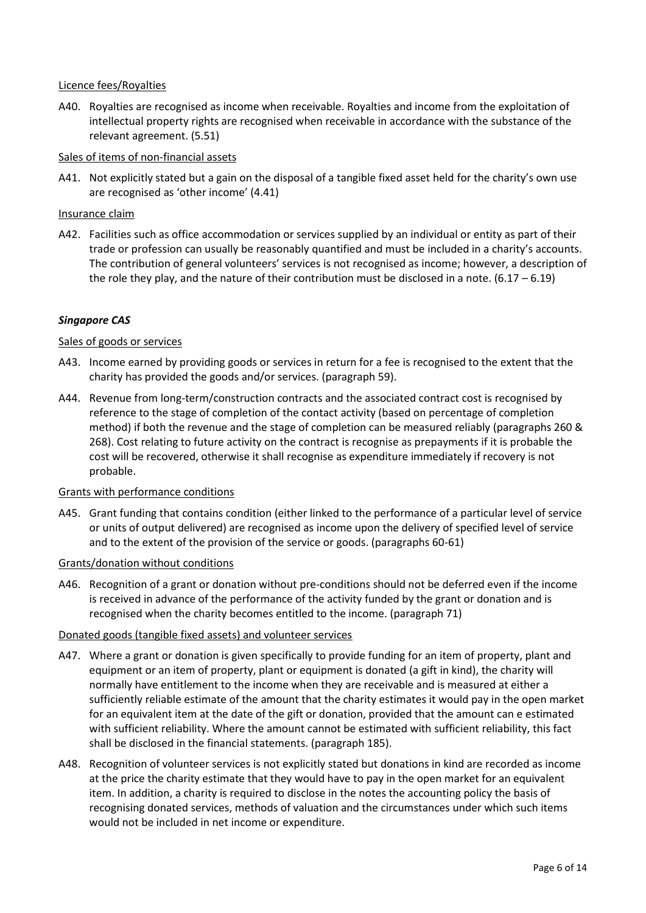# Licence fees/Royalties

A40. Royalties are recognised as income when receivable. Royalties and income from the exploitation of intellectual property rights are recognised when receivable in accordance with the substance of the relevant agreement. (5.51)

# Sales of items of non-financial assets

A41. Not explicitly stated but a gain on the disposal of a tangible fixed asset held for the charity's own use are recognised as 'other income' (4.41)

# Insurance claim

A42. Facilities such as office accommodation or services supplied by an individual or entity as part of their trade or profession can usually be reasonably quantified and must be included in a charity's accounts. The contribution of general volunteers' services is not recognised as income; however, a description of the role they play, and the nature of their contribution must be disclosed in a note.  $(6.17 - 6.19)$ 

# *Singapore CAS*

## Sales of goods or services

- A43. Income earned by providing goods or services in return for a fee is recognised to the extent that the charity has provided the goods and/or services. (paragraph 59).
- A44. Revenue from long-term/construction contracts and the associated contract cost is recognised by reference to the stage of completion of the contact activity (based on percentage of completion method) if both the revenue and the stage of completion can be measured reliably (paragraphs 260 & 268). Cost relating to future activity on the contract is recognise as prepayments if it is probable the cost will be recovered, otherwise it shall recognise as expenditure immediately if recovery is not probable.

## Grants with performance conditions

A45. Grant funding that contains condition (either linked to the performance of a particular level of service or units of output delivered) are recognised as income upon the delivery of specified level of service and to the extent of the provision of the service or goods. (paragraphs 60-61)

## Grants/donation without conditions

A46. Recognition of a grant or donation without pre-conditions should not be deferred even if the income is received in advance of the performance of the activity funded by the grant or donation and is recognised when the charity becomes entitled to the income. (paragraph 71)

# Donated goods (tangible fixed assets) and volunteer services

- A47. Where a grant or donation is given specifically to provide funding for an item of property, plant and equipment or an item of property, plant or equipment is donated (a gift in kind), the charity will normally have entitlement to the income when they are receivable and is measured at either a sufficiently reliable estimate of the amount that the charity estimates it would pay in the open market for an equivalent item at the date of the gift or donation, provided that the amount can e estimated with sufficient reliability. Where the amount cannot be estimated with sufficient reliability, this fact shall be disclosed in the financial statements. (paragraph 185).
- A48. Recognition of volunteer services is not explicitly stated but donations in kind are recorded as income at the price the charity estimate that they would have to pay in the open market for an equivalent item. In addition, a charity is required to disclose in the notes the accounting policy the basis of recognising donated services, methods of valuation and the circumstances under which such items would not be included in net income or expenditure.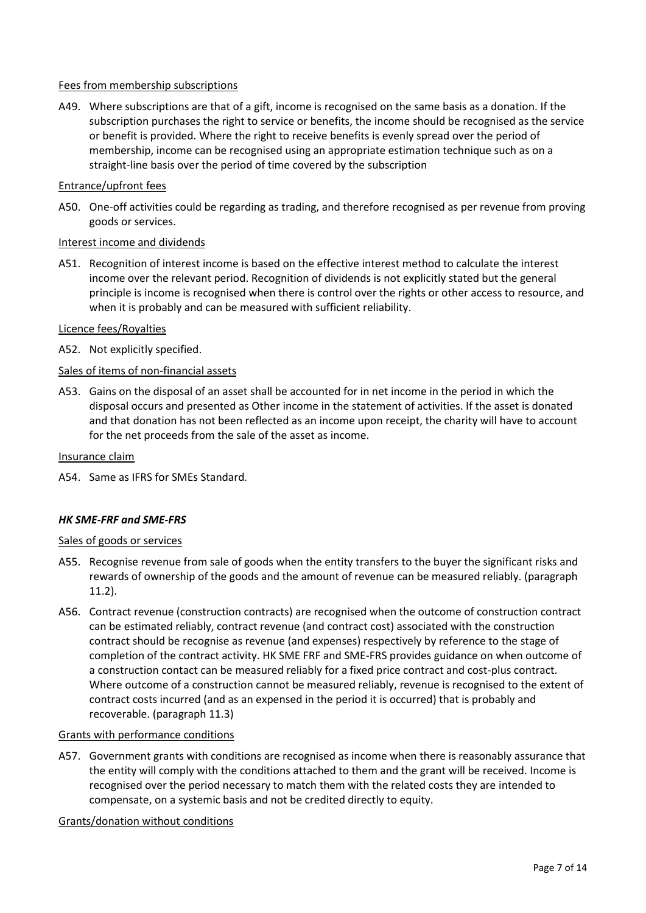## Fees from membership subscriptions

A49. Where subscriptions are that of a gift, income is recognised on the same basis as a donation. If the subscription purchases the right to service or benefits, the income should be recognised as the service or benefit is provided. Where the right to receive benefits is evenly spread over the period of membership, income can be recognised using an appropriate estimation technique such as on a straight-line basis over the period of time covered by the subscription

### Entrance/upfront fees

A50. One-off activities could be regarding as trading, and therefore recognised as per revenue from proving goods or services.

#### Interest income and dividends

A51. Recognition of interest income is based on the effective interest method to calculate the interest income over the relevant period. Recognition of dividends is not explicitly stated but the general principle is income is recognised when there is control over the rights or other access to resource, and when it is probably and can be measured with sufficient reliability.

### Licence fees/Royalties

A52. Not explicitly specified.

## Sales of items of non-financial assets

A53. Gains on the disposal of an asset shall be accounted for in net income in the period in which the disposal occurs and presented as Other income in the statement of activities. If the asset is donated and that donation has not been reflected as an income upon receipt, the charity will have to account for the net proceeds from the sale of the asset as income.

#### Insurance claim

A54. Same as IFRS for SMEs Standard.

#### *HK SME-FRF and SME-FRS*

#### Sales of goods or services

- A55. Recognise revenue from sale of goods when the entity transfers to the buyer the significant risks and rewards of ownership of the goods and the amount of revenue can be measured reliably. (paragraph 11.2).
- A56. Contract revenue (construction contracts) are recognised when the outcome of construction contract can be estimated reliably, contract revenue (and contract cost) associated with the construction contract should be recognise as revenue (and expenses) respectively by reference to the stage of completion of the contract activity. HK SME FRF and SME-FRS provides guidance on when outcome of a construction contact can be measured reliably for a fixed price contract and cost-plus contract. Where outcome of a construction cannot be measured reliably, revenue is recognised to the extent of contract costs incurred (and as an expensed in the period it is occurred) that is probably and recoverable. (paragraph 11.3)

#### Grants with performance conditions

A57. Government grants with conditions are recognised as income when there is reasonably assurance that the entity will comply with the conditions attached to them and the grant will be received. Income is recognised over the period necessary to match them with the related costs they are intended to compensate, on a systemic basis and not be credited directly to equity.

Grants/donation without conditions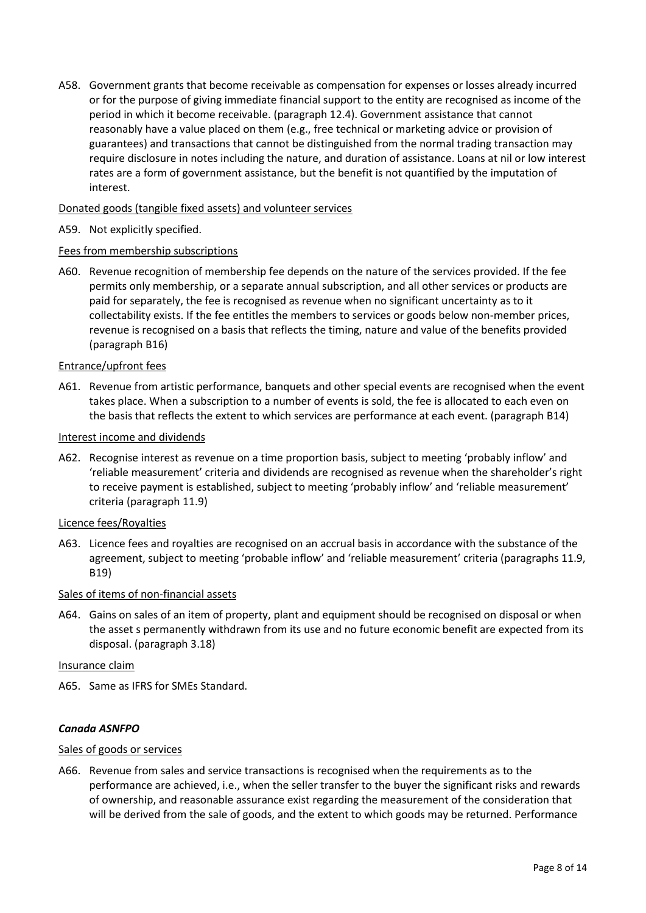A58. Government grants that become receivable as compensation for expenses or losses already incurred or for the purpose of giving immediate financial support to the entity are recognised as income of the period in which it become receivable. (paragraph 12.4). Government assistance that cannot reasonably have a value placed on them (e.g., free technical or marketing advice or provision of guarantees) and transactions that cannot be distinguished from the normal trading transaction may require disclosure in notes including the nature, and duration of assistance. Loans at nil or low interest rates are a form of government assistance, but the benefit is not quantified by the imputation of interest.

# Donated goods (tangible fixed assets) and volunteer services

# A59. Not explicitly specified.

## Fees from membership subscriptions

A60. Revenue recognition of membership fee depends on the nature of the services provided. If the fee permits only membership, or a separate annual subscription, and all other services or products are paid for separately, the fee is recognised as revenue when no significant uncertainty as to it collectability exists. If the fee entitles the members to services or goods below non-member prices, revenue is recognised on a basis that reflects the timing, nature and value of the benefits provided (paragraph B16)

## Entrance/upfront fees

A61. Revenue from artistic performance, banquets and other special events are recognised when the event takes place. When a subscription to a number of events is sold, the fee is allocated to each even on the basis that reflects the extent to which services are performance at each event. (paragraph B14)

## Interest income and dividends

A62. Recognise interest as revenue on a time proportion basis, subject to meeting 'probably inflow' and 'reliable measurement' criteria and dividends are recognised as revenue when the shareholder's right to receive payment is established, subject to meeting 'probably inflow' and 'reliable measurement' criteria (paragraph 11.9)

## Licence fees/Royalties

A63. Licence fees and royalties are recognised on an accrual basis in accordance with the substance of the agreement, subject to meeting 'probable inflow' and 'reliable measurement' criteria (paragraphs 11.9, B19)

## Sales of items of non-financial assets

A64. Gains on sales of an item of property, plant and equipment should be recognised on disposal or when the asset s permanently withdrawn from its use and no future economic benefit are expected from its disposal. (paragraph 3.18)

#### Insurance claim

A65. Same as IFRS for SMEs Standard.

## *Canada ASNFPO*

## Sales of goods or services

A66. Revenue from sales and service transactions is recognised when the requirements as to the performance are achieved, i.e., when the seller transfer to the buyer the significant risks and rewards of ownership, and reasonable assurance exist regarding the measurement of the consideration that will be derived from the sale of goods, and the extent to which goods may be returned. Performance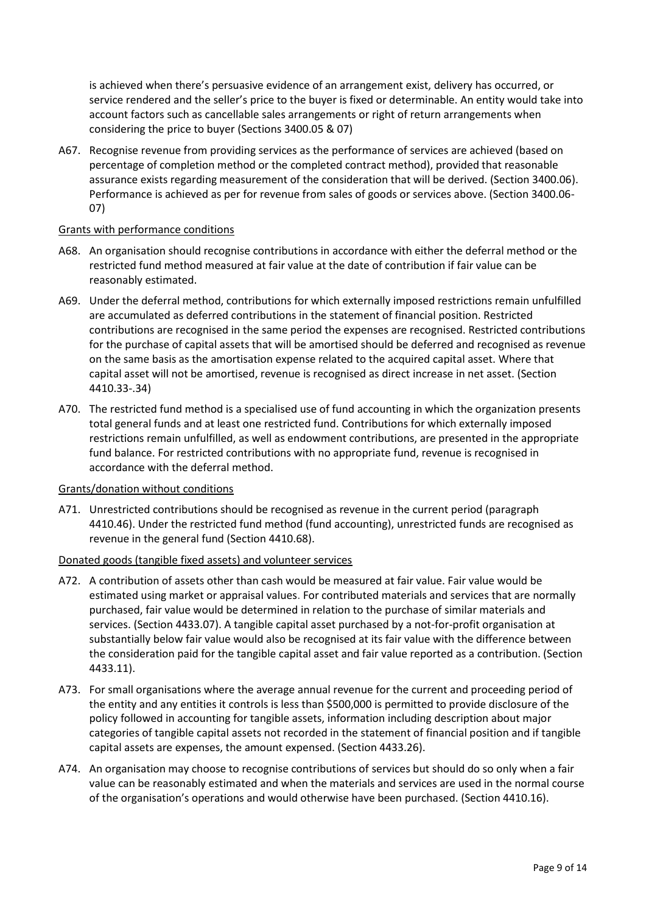is achieved when there's persuasive evidence of an arrangement exist, delivery has occurred, or service rendered and the seller's price to the buyer is fixed or determinable. An entity would take into account factors such as cancellable sales arrangements or right of return arrangements when considering the price to buyer (Sections 3400.05 & 07)

A67. Recognise revenue from providing services as the performance of services are achieved (based on percentage of completion method or the completed contract method), provided that reasonable assurance exists regarding measurement of the consideration that will be derived. (Section 3400.06). Performance is achieved as per for revenue from sales of goods or services above. (Section 3400.06- 07)

### Grants with performance conditions

- A68. An organisation should recognise contributions in accordance with either the deferral method or the restricted fund method measured at fair value at the date of contribution if fair value can be reasonably estimated.
- A69. Under the deferral method, contributions for which externally imposed restrictions remain unfulfilled are accumulated as deferred contributions in the statement of financial position. Restricted contributions are recognised in the same period the expenses are recognised. Restricted contributions for the purchase of capital assets that will be amortised should be deferred and recognised as revenue on the same basis as the amortisation expense related to the acquired capital asset. Where that capital asset will not be amortised, revenue is recognised as direct increase in net asset. (Section 4410.33-.34)
- A70. The restricted fund method is a specialised use of fund accounting in which the organization presents total general funds and at least one restricted fund. Contributions for which externally imposed restrictions remain unfulfilled, as well as endowment contributions, are presented in the appropriate fund balance. For restricted contributions with no appropriate fund, revenue is recognised in accordance with the deferral method.

## Grants/donation without conditions

A71. Unrestricted contributions should be recognised as revenue in the current period (paragraph 4410.46). Under the restricted fund method (fund accounting), unrestricted funds are recognised as revenue in the general fund (Section 4410.68).

## Donated goods (tangible fixed assets) and volunteer services

- A72. A contribution of assets other than cash would be measured at fair value. Fair value would be estimated using market or appraisal values. For contributed materials and services that are normally purchased, fair value would be determined in relation to the purchase of similar materials and services. (Section 4433.07). A tangible capital asset purchased by a not-for-profit organisation at substantially below fair value would also be recognised at its fair value with the difference between the consideration paid for the tangible capital asset and fair value reported as a contribution. (Section 4433.11).
- A73. For small organisations where the average annual revenue for the current and proceeding period of the entity and any entities it controls is less than \$500,000 is permitted to provide disclosure of the policy followed in accounting for tangible assets, information including description about major categories of tangible capital assets not recorded in the statement of financial position and if tangible capital assets are expenses, the amount expensed. (Section 4433.26).
- A74. An organisation may choose to recognise contributions of services but should do so only when a fair value can be reasonably estimated and when the materials and services are used in the normal course of the organisation's operations and would otherwise have been purchased. (Section 4410.16).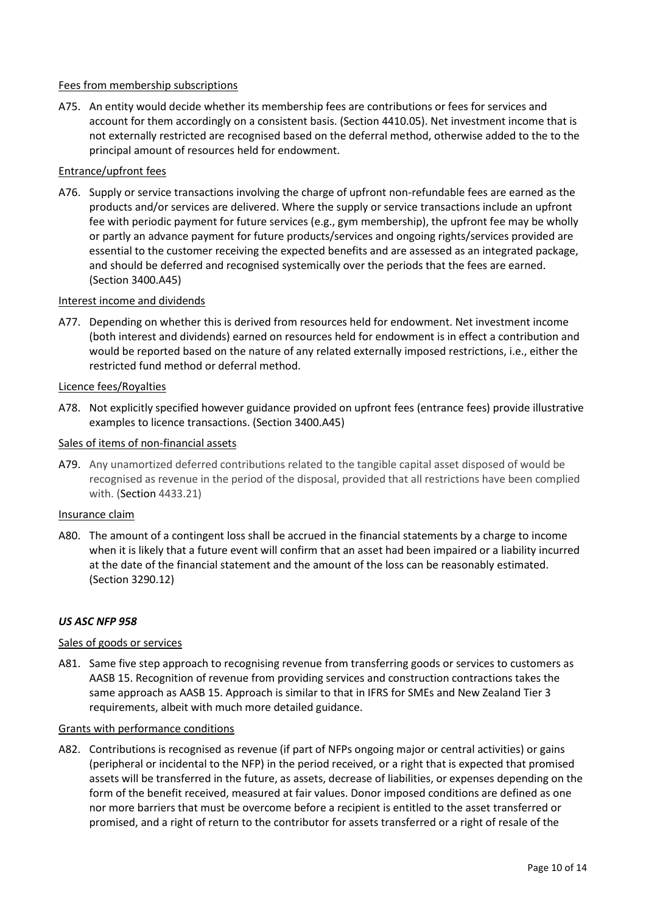# Fees from membership subscriptions

A75. An entity would decide whether its membership fees are contributions or fees for services and account for them accordingly on a consistent basis. (Section 4410.05). Net investment income that is not externally restricted are recognised based on the deferral method, otherwise added to the to the principal amount of resources held for endowment.

# Entrance/upfront fees

A76. Supply or service transactions involving the charge of upfront non-refundable fees are earned as the products and/or services are delivered. Where the supply or service transactions include an upfront fee with periodic payment for future services (e.g., gym membership), the upfront fee may be wholly or partly an advance payment for future products/services and ongoing rights/services provided are essential to the customer receiving the expected benefits and are assessed as an integrated package, and should be deferred and recognised systemically over the periods that the fees are earned. (Section 3400.A45)

# Interest income and dividends

A77. Depending on whether this is derived from resources held for endowment. Net investment income (both interest and dividends) earned on resources held for endowment is in effect a contribution and would be reported based on the nature of any related externally imposed restrictions, i.e., either the restricted fund method or deferral method.

## Licence fees/Royalties

A78. Not explicitly specified however guidance provided on upfront fees (entrance fees) provide illustrative examples to licence transactions. (Section 3400.A45)

## Sales of items of non-financial assets

A79. Any unamortized deferred contributions related to the tangible capital asset disposed of would be recognised as revenue in the period of the disposal, provided that all restrictions have been complied with. (Section 4433.21)

#### Insurance claim

A80. The amount of a contingent loss shall be accrued in the financial statements by a charge to income when it is likely that a future event will confirm that an asset had been impaired or a liability incurred at the date of the financial statement and the amount of the loss can be reasonably estimated. (Section 3290.12)

## *US ASC NFP 958*

## Sales of goods or services

A81. Same five step approach to recognising revenue from transferring goods or services to customers as AASB 15. Recognition of revenue from providing services and construction contractions takes the same approach as AASB 15. Approach is similar to that in IFRS for SMEs and New Zealand Tier 3 requirements, albeit with much more detailed guidance.

#### Grants with performance conditions

A82. Contributions is recognised as revenue (if part of NFPs ongoing major or central activities) or gains (peripheral or incidental to the NFP) in the period received, or a right that is expected that promised assets will be transferred in the future, as assets, decrease of liabilities, or expenses depending on the form of the benefit received, measured at fair values. Donor imposed conditions are defined as one nor more barriers that must be overcome before a recipient is entitled to the asset transferred or promised, and a right of return to the contributor for assets transferred or a right of resale of the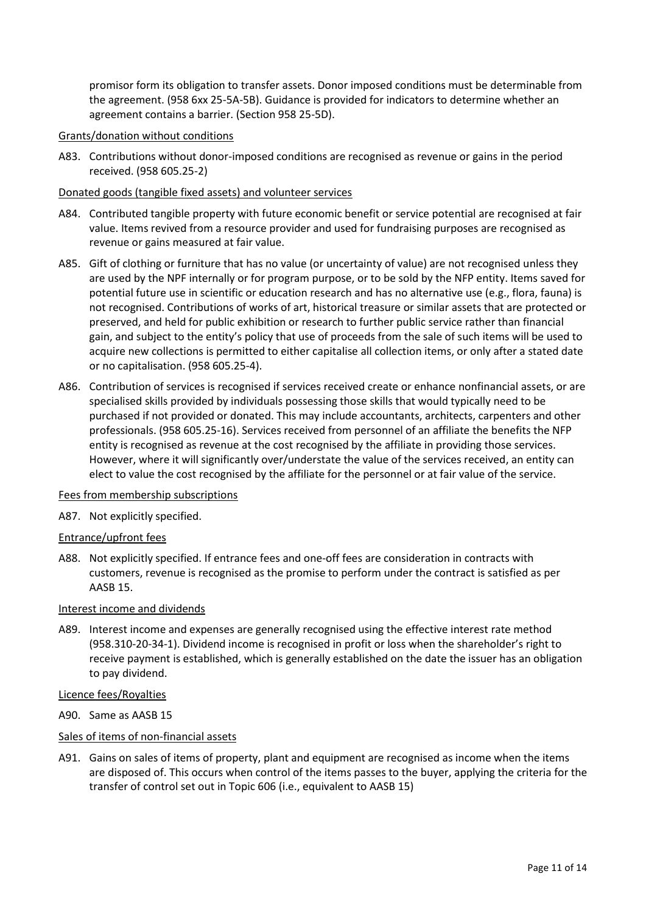promisor form its obligation to transfer assets. Donor imposed conditions must be determinable from the agreement. (958 6xx 25-5A-5B). Guidance is provided for indicators to determine whether an agreement contains a barrier. (Section 958 25-5D).

# Grants/donation without conditions

A83. Contributions without donor-imposed conditions are recognised as revenue or gains in the period received. (958 605.25-2)

# Donated goods (tangible fixed assets) and volunteer services

- A84. Contributed tangible property with future economic benefit or service potential are recognised at fair value. Items revived from a resource provider and used for fundraising purposes are recognised as revenue or gains measured at fair value.
- A85. Gift of clothing or furniture that has no value (or uncertainty of value) are not recognised unless they are used by the NPF internally or for program purpose, or to be sold by the NFP entity. Items saved for potential future use in scientific or education research and has no alternative use (e.g., flora, fauna) is not recognised. Contributions of works of art, historical treasure or similar assets that are protected or preserved, and held for public exhibition or research to further public service rather than financial gain, and subject to the entity's policy that use of proceeds from the sale of such items will be used to acquire new collections is permitted to either capitalise all collection items, or only after a stated date or no capitalisation. (958 605.25-4).
- A86. Contribution of services is recognised if services received create or enhance nonfinancial assets, or are specialised skills provided by individuals possessing those skills that would typically need to be purchased if not provided or donated. This may include accountants, architects, carpenters and other professionals. (958 605.25-16). Services received from personnel of an affiliate the benefits the NFP entity is recognised as revenue at the cost recognised by the affiliate in providing those services. However, where it will significantly over/understate the value of the services received, an entity can elect to value the cost recognised by the affiliate for the personnel or at fair value of the service.

## Fees from membership subscriptions

A87. Not explicitly specified.

## Entrance/upfront fees

A88. Not explicitly specified. If entrance fees and one-off fees are consideration in contracts with customers, revenue is recognised as the promise to perform under the contract is satisfied as per AASB 15.

## Interest income and dividends

A89. Interest income and expenses are generally recognised using the effective interest rate method (958.310-20-34-1). Dividend income is recognised in profit or loss when the shareholder's right to receive payment is established, which is generally established on the date the issuer has an obligation to pay dividend.

## Licence fees/Royalties

A90. Same as AASB 15

## Sales of items of non-financial assets

A91. Gains on sales of items of property, plant and equipment are recognised as income when the items are disposed of. This occurs when control of the items passes to the buyer, applying the criteria for the transfer of control set out in Topic 606 (i.e., equivalent to AASB 15)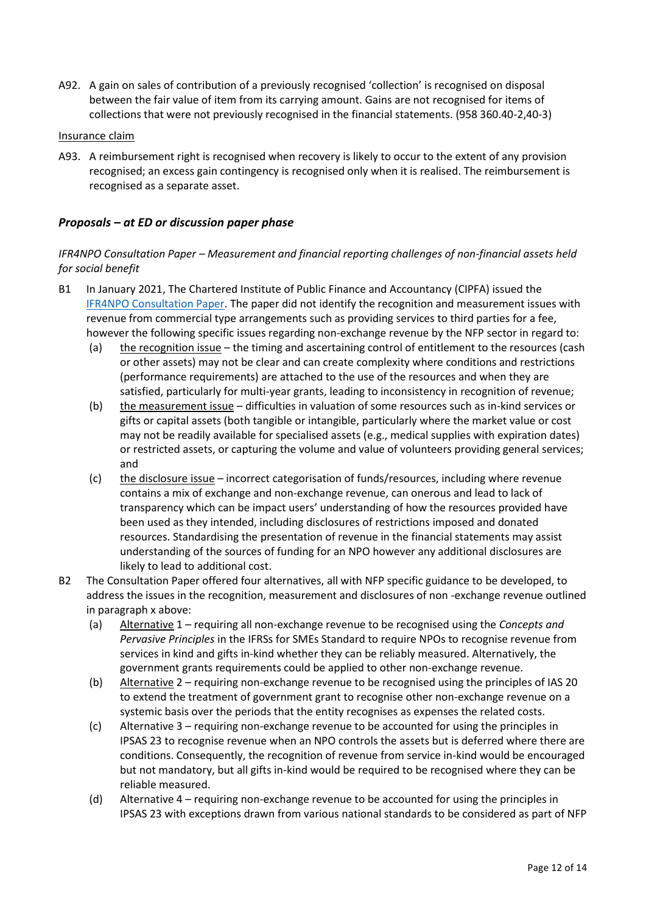A92. A gain on sales of contribution of a previously recognised 'collection' is recognised on disposal between the fair value of item from its carrying amount. Gains are not recognised for items of collections that were not previously recognised in the financial statements. (958 360.40-2,40-3)

### Insurance claim

A93. A reimbursement right is recognised when recovery is likely to occur to the extent of any provision recognised; an excess gain contingency is recognised only when it is realised. The reimbursement is recognised as a separate asset.

# *Proposals – at ED or discussion paper phase*

# *IFR4NPO Consultation Paper – Measurement and financial reporting challenges of non-financial assets held for social benefit*

- B1 In January 2021, The Chartered Institute of Public Finance and Accountancy (CIPFA) issued the [IFR4NPO Consultation Paper.](https://www.ifr4npo.org/access-consultation-paper/) The paper did not identify the recognition and measurement issues with revenue from commercial type arrangements such as providing services to third parties for a fee, however the following specific issues regarding non-exchange revenue by the NFP sector in regard to:
	- (a) the recognition issue the timing and ascertaining control of entitlement to the resources (cash or other assets) may not be clear and can create complexity where conditions and restrictions (performance requirements) are attached to the use of the resources and when they are satisfied, particularly for multi-year grants, leading to inconsistency in recognition of revenue;
	- (b) the measurement issue difficulties in valuation of some resources such as in-kind services or gifts or capital assets (both tangible or intangible, particularly where the market value or cost may not be readily available for specialised assets (e.g., medical supplies with expiration dates) or restricted assets, or capturing the volume and value of volunteers providing general services; and
	- (c) the disclosure issue incorrect categorisation of funds/resources, including where revenue contains a mix of exchange and non-exchange revenue, can onerous and lead to lack of transparency which can be impact users' understanding of how the resources provided have been used as they intended, including disclosures of restrictions imposed and donated resources. Standardising the presentation of revenue in the financial statements may assist understanding of the sources of funding for an NPO however any additional disclosures are likely to lead to additional cost.
- B2 The Consultation Paper offered four alternatives, all with NFP specific guidance to be developed, to address the issues in the recognition, measurement and disclosures of non -exchange revenue outlined in paragraph x above:
	- (a) Alternative 1 requiring all non-exchange revenue to be recognised using the *Concepts and Pervasive Principles* in the IFRSs for SMEs Standard to require NPOs to recognise revenue from services in kind and gifts in-kind whether they can be reliably measured. Alternatively, the government grants requirements could be applied to other non-exchange revenue.
	- (b) Alternative 2 requiring non-exchange revenue to be recognised using the principles of IAS 20 to extend the treatment of government grant to recognise other non-exchange revenue on a systemic basis over the periods that the entity recognises as expenses the related costs.
	- (c) Alternative 3 requiring non-exchange revenue to be accounted for using the principles in IPSAS 23 to recognise revenue when an NPO controls the assets but is deferred where there are conditions. Consequently, the recognition of revenue from service in-kind would be encouraged but not mandatory, but all gifts in-kind would be required to be recognised where they can be reliable measured.
	- (d) Alternative 4 requiring non-exchange revenue to be accounted for using the principles in IPSAS 23 with exceptions drawn from various national standards to be considered as part of NFP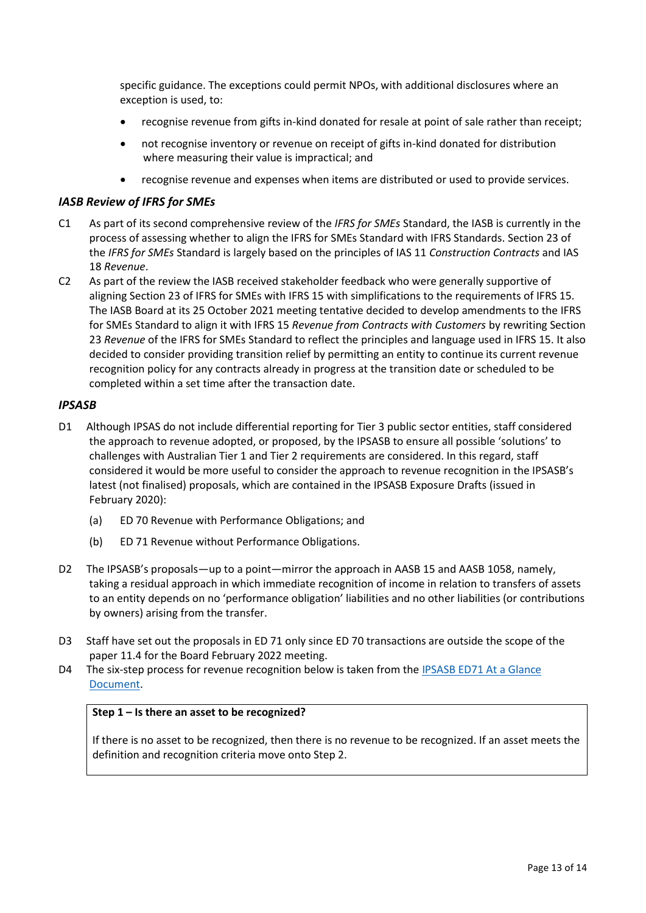specific guidance. The exceptions could permit NPOs, with additional disclosures where an exception is used, to:

- recognise revenue from gifts in-kind donated for resale at point of sale rather than receipt;
- not recognise inventory or revenue on receipt of gifts in-kind donated for distribution where measuring their value is impractical; and
- recognise revenue and expenses when items are distributed or used to provide services.

# *IASB Review of IFRS for SMEs*

- C1 As part of its second comprehensive review of the *IFRS for SMEs* Standard, the IASB is currently in the process of assessing whether to align the IFRS for SMEs Standard with IFRS Standards. Section 23 of the *IFRS for SMEs* Standard is largely based on the principles of IAS 11 *Construction Contracts* and IAS 18 *Revenue*.
- C2 As part of the review the IASB received stakeholder feedback who were generally supportive of aligning Section 23 of IFRS for SMEs with IFRS 15 with simplifications to the requirements of IFRS 15*.*  The IASB Board at its 25 October 2021 meeting tentative decided to develop amendments to the IFRS for SMEs Standard to align it with IFRS 15 *Revenue from Contracts with Customers* by rewriting Section 23 *Revenue* of the IFRS for SMEs Standard to reflect the principles and language used in IFRS 15. It also decided to consider providing transition relief by permitting an entity to continue its current revenue recognition policy for any contracts already in progress at the transition date or scheduled to be completed within a set time after the transaction date.

## *IPSASB*

- D1 Although IPSAS do not include differential reporting for Tier 3 public sector entities, staff considered the approach to revenue adopted, or proposed, by the IPSASB to ensure all possible 'solutions' to challenges with Australian Tier 1 and Tier 2 requirements are considered. In this regard, staff considered it would be more useful to consider the approach to revenue recognition in the IPSASB's latest (not finalised) proposals, which are contained in the IPSASB Exposure Drafts (issued in February 2020):
	- (a) ED 70 Revenue with Performance Obligations; and
	- (b) ED 71 Revenue without Performance Obligations.
- D2 The IPSASB's proposals—up to a point—mirror the approach in AASB 15 and AASB 1058, namely, taking a residual approach in which immediate recognition of income in relation to transfers of assets to an entity depends on no 'performance obligation' liabilities and no other liabilities (or contributions by owners) arising from the transfer.
- D3 Staff have set out the proposals in ED 71 only since ED 70 transactions are outside the scope of the paper 11.4 for the Board February 2022 meeting.
- D4 The six-step process for revenue recognition below is taken from the IPSASB ED71 At a Glance [Document.](https://www.ifac.org/system/files/publications/files/IPSASB-ED-71-At-a-Glance.pdf)

#### **Step 1 – Is there an asset to be recognized?**

If there is no asset to be recognized, then there is no revenue to be recognized. If an asset meets the definition and recognition criteria move onto Step 2.